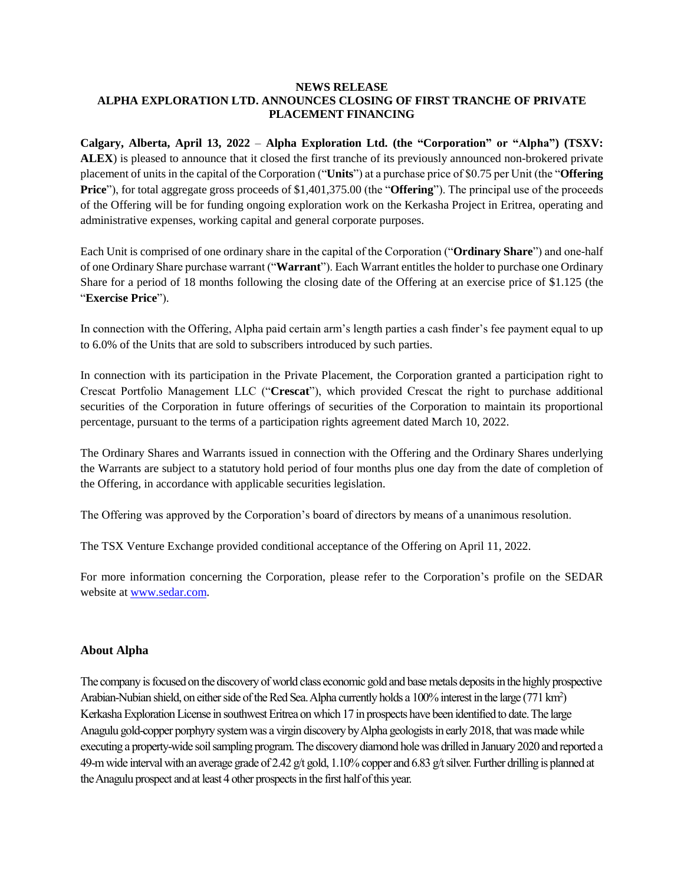# **NEWS RELEASE ALPHA EXPLORATION LTD. ANNOUNCES CLOSING OF FIRST TRANCHE OF PRIVATE PLACEMENT FINANCING**

**Calgary, Alberta, April 13, 2022** – **Alpha Exploration Ltd. (the "Corporation" or "Alpha") (TSXV: ALEX**) is pleased to announce that it closed the first tranche of its previously announced non-brokered private placement of units in the capital of the Corporation ("**Units**") at a purchase price of \$0.75 per Unit (the "**Offering Price**"), for total aggregate gross proceeds of \$1,401,375.00 (the "**Offering**"). The principal use of the proceeds of the Offering will be for funding ongoing exploration work on the Kerkasha Project in Eritrea, operating and administrative expenses, working capital and general corporate purposes.

Each Unit is comprised of one ordinary share in the capital of the Corporation ("**Ordinary Share**") and one-half of one Ordinary Share purchase warrant ("**Warrant**"). Each Warrant entitlesthe holder to purchase one Ordinary Share for a period of 18 months following the closing date of the Offering at an exercise price of \$1.125 (the "**Exercise Price**").

In connection with the Offering, Alpha paid certain arm's length parties a cash finder's fee payment equal to up to 6.0% of the Units that are sold to subscribers introduced by such parties.

In connection with its participation in the Private Placement, the Corporation granted a participation right to Crescat Portfolio Management LLC ("**Crescat**"), which provided Crescat the right to purchase additional securities of the Corporation in future offerings of securities of the Corporation to maintain its proportional percentage, pursuant to the terms of a participation rights agreement dated March 10, 2022.

The Ordinary Shares and Warrants issued in connection with the Offering and the Ordinary Shares underlying the Warrants are subject to a statutory hold period of four months plus one day from the date of completion of the Offering, in accordance with applicable securities legislation.

The Offering was approved by the Corporation's board of directors by means of a unanimous resolution.

The TSX Venture Exchange provided conditional acceptance of the Offering on April 11, 2022.

For more information concerning the Corporation, please refer to the Corporation's profile on the SEDAR website at [www.sedar.com.](http://www.sedar.com/)

# **About Alpha**

The company is focused on the discovery of world class economic gold and base metals deposits in the highly prospective Arabian-Nubian shield, on either side of the Red Sea. Alpha currently holds a 100% interest in the large (771 km<sup>2</sup>) Kerkasha Exploration License in southwest Eritrea on which 17 in prospects have been identified to date. The large Anagulu gold-copper porphyry system was a virgin discovery by Alpha geologists in early 2018, that was made while executing a property-wide soil sampling program. The discovery diamond hole was drilled in January 2020 and reported a 49-m wide interval with an average grade of 2.42 g/t gold, 1.10% copper and 6.83 g/t silver. Further drilling is planned at the Anagulu prospect and at least 4 other prospects in the first half of this year.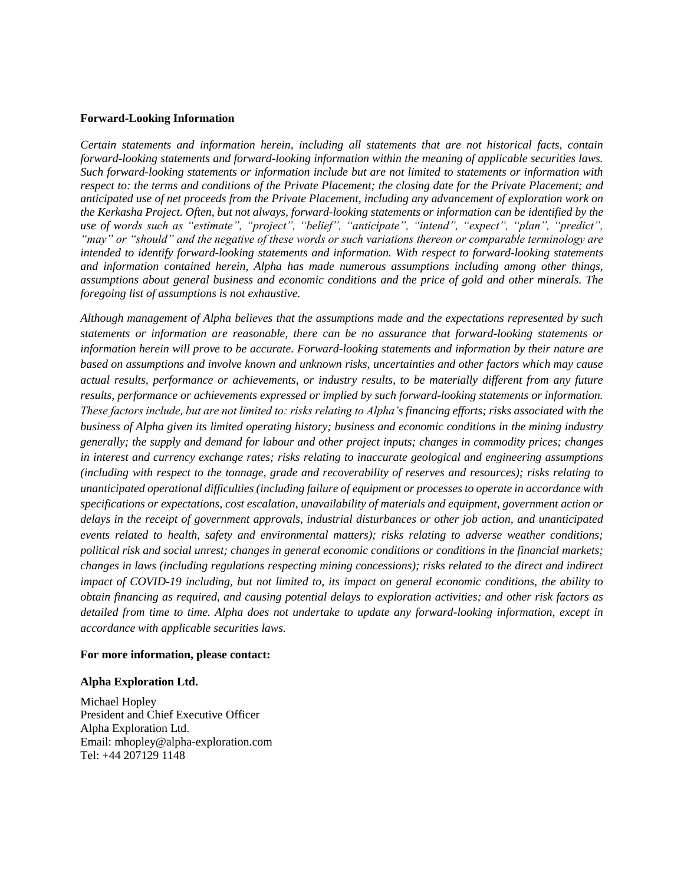## **Forward-Looking Information**

*Certain statements and information herein, including all statements that are not historical facts, contain forward-looking statements and forward-looking information within the meaning of applicable securities laws. Such forward-looking statements or information include but are not limited to statements or information with respect to: the terms and conditions of the Private Placement; the closing date for the Private Placement; and anticipated use of net proceeds from the Private Placement, including any advancement of exploration work on the Kerkasha Project. Often, but not always, forward-looking statements or information can be identified by the use of words such as "estimate", "project", "belief", "anticipate", "intend", "expect", "plan", "predict", "may" or "should" and the negative of these words or such variations thereon or comparable terminology are intended to identify forward-looking statements and information. With respect to forward-looking statements and information contained herein, Alpha has made numerous assumptions including among other things, assumptions about general business and economic conditions and the price of gold and other minerals. The foregoing list of assumptions is not exhaustive.*

*Although management of Alpha believes that the assumptions made and the expectations represented by such statements or information are reasonable, there can be no assurance that forward-looking statements or information herein will prove to be accurate. Forward-looking statements and information by their nature are based on assumptions and involve known and unknown risks, uncertainties and other factors which may cause actual results, performance or achievements, or industry results, to be materially different from any future results, performance or achievements expressed or implied by such forward-looking statements or information. These factors include, but are not limited to: risks relating to Alpha's financing efforts; risks associated with the business of Alpha given its limited operating history; business and economic conditions in the mining industry generally; the supply and demand for labour and other project inputs; changes in commodity prices; changes in interest and currency exchange rates; risks relating to inaccurate geological and engineering assumptions (including with respect to the tonnage, grade and recoverability of reserves and resources); risks relating to unanticipated operational difficulties (including failure of equipment or processes to operate in accordance with specifications or expectations, cost escalation, unavailability of materials and equipment, government action or delays in the receipt of government approvals, industrial disturbances or other job action, and unanticipated events related to health, safety and environmental matters); risks relating to adverse weather conditions; political risk and social unrest; changes in general economic conditions or conditions in the financial markets; changes in laws (including regulations respecting mining concessions); risks related to the direct and indirect impact of COVID-19 including, but not limited to, its impact on general economic conditions, the ability to obtain financing as required, and causing potential delays to exploration activities; and other risk factors as detailed from time to time. Alpha does not undertake to update any forward-looking information, except in accordance with applicable securities laws.*

### **For more information, please contact:**

### **Alpha Exploration Ltd.**

Michael Hopley President and Chief Executive Officer Alpha Exploration Ltd. Email: mhopley@alpha-exploration.com Tel: +44 207129 1148